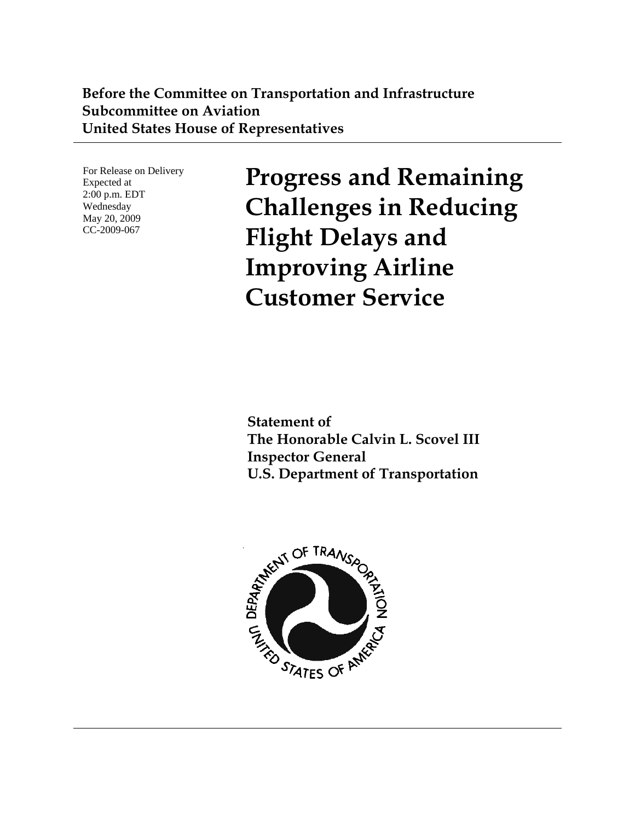### **Before the Committee on Transportation and Infrastructure Subcommittee on Aviation United States House of Representatives**

For Release on Delivery Expected at 2:00 p.m. EDT Wednesday May 20, 2009 CC-2009-067

**Progress and Remaining Challenges in Reducing Flight Delays and Improving Airline Customer Service** 

**Statement of The Honorable Calvin L. Scovel III Inspector General U.S. Department of Transportation** 

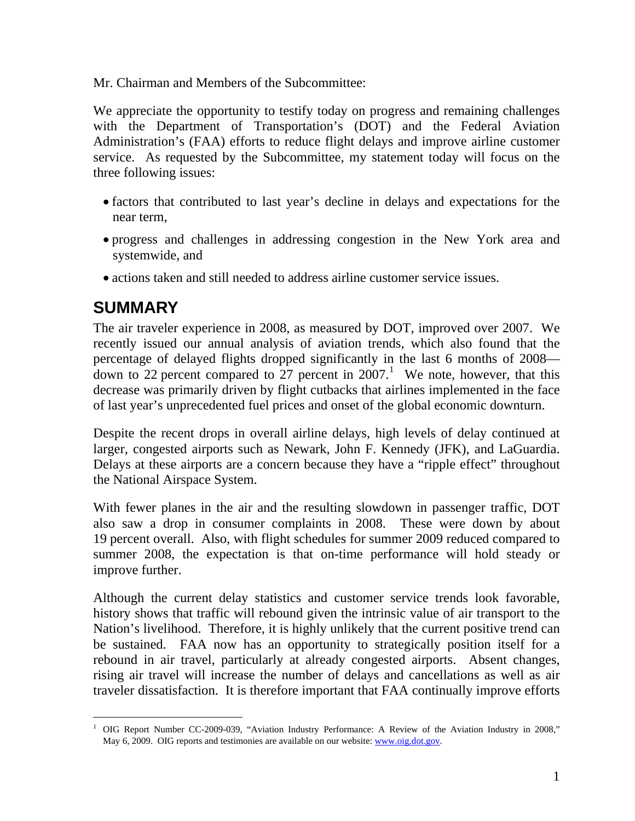Mr. Chairman and Members of the Subcommittee:

We appreciate the opportunity to testify today on progress and remaining challenges with the Department of Transportation's (DOT) and the Federal Aviation Administration's (FAA) efforts to reduce flight delays and improve airline customer service. As requested by the Subcommittee, my statement today will focus on the three following issues:

- factors that contributed to last year's decline in delays and expectations for the near term,
- progress and challenges in addressing congestion in the New York area and systemwide, and
- actions taken and still needed to address airline customer service issues.

# **SUMMARY**

The air traveler experience in 2008, as measured by DOT, improved over 2007. We recently issued our annual analysis of aviation trends, which also found that the percentage of delayed flights dropped significantly in the last 6 months of 2008 down to 22 percent compared to  $27$  percent in 2007.<sup>[1](#page-1-0)</sup> We note, however, that this decrease was primarily driven by flight cutbacks that airlines implemented in the face of last year's unprecedented fuel prices and onset of the global economic downturn.

Despite the recent drops in overall airline delays, high levels of delay continued at larger, congested airports such as Newark, John F. Kennedy (JFK), and LaGuardia. Delays at these airports are a concern because they have a "ripple effect" throughout the National Airspace System.

With fewer planes in the air and the resulting slowdown in passenger traffic, DOT also saw a drop in consumer complaints in 2008. These were down by about 19 percent overall. Also, with flight schedules for summer 2009 reduced compared to summer 2008, the expectation is that on-time performance will hold steady or improve further.

Although the current delay statistics and customer service trends look favorable, history shows that traffic will rebound given the intrinsic value of air transport to the Nation's livelihood. Therefore, it is highly unlikely that the current positive trend can be sustained. FAA now has an opportunity to strategically position itself for a rebound in air travel, particularly at already congested airports. Absent changes, rising air travel will increase the number of delays and cancellations as well as air traveler dissatisfaction. It is therefore important that FAA continually improve efforts

<span id="page-1-0"></span> $\overline{a}$ <sup>1</sup> OIG Report Number CC-2009-039, "Aviation Industry Performance: A Review of the Aviation Industry in 2008," May 6, 2009. OIG reports and testimonies are available on our website: [www.oig.dot.gov](http://www.oig.dot.gov/).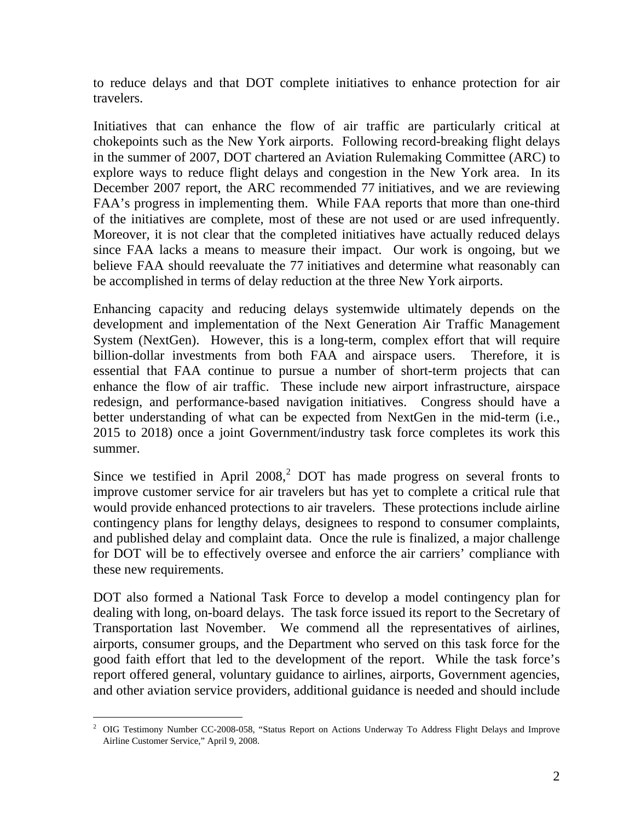to reduce delays and that DOT complete initiatives to enhance protection for air travelers.

Initiatives that can enhance the flow of air traffic are particularly critical at chokepoints such as the New York airports. Following record-breaking flight delays in the summer of 2007, DOT chartered an Aviation Rulemaking Committee (ARC) to explore ways to reduce flight delays and congestion in the New York area. In its December 2007 report, the ARC recommended 77 initiatives, and we are reviewing FAA's progress in implementing them. While FAA reports that more than one-third of the initiatives are complete, most of these are not used or are used infrequently. Moreover, it is not clear that the completed initiatives have actually reduced delays since FAA lacks a means to measure their impact. Our work is ongoing, but we believe FAA should reevaluate the 77 initiatives and determine what reasonably can be accomplished in terms of delay reduction at the three New York airports.

Enhancing capacity and reducing delays systemwide ultimately depends on the development and implementation of the Next Generation Air Traffic Management System (NextGen). However, this is a long-term, complex effort that will require billion-dollar investments from both FAA and airspace users. Therefore, it is essential that FAA continue to pursue a number of short-term projects that can enhance the flow of air traffic. These include new airport infrastructure, airspace redesign, and performance-based navigation initiatives. Congress should have a better understanding of what can be expected from NextGen in the mid-term (i.e., 2015 to 2018) once a joint Government/industry task force completes its work this summer.

Since we testified in April [2](#page-2-0)008, $^2$  DOT has made progress on several fronts to improve customer service for air travelers but has yet to complete a critical rule that would provide enhanced protections to air travelers. These protections include airline contingency plans for lengthy delays, designees to respond to consumer complaints, and published delay and complaint data. Once the rule is finalized, a major challenge for DOT will be to effectively oversee and enforce the air carriers' compliance with these new requirements.

DOT also formed a National Task Force to develop a model contingency plan for dealing with long, on-board delays. The task force issued its report to the Secretary of Transportation last November. We commend all the representatives of airlines, airports, consumer groups, and the Department who served on this task force for the good faith effort that led to the development of the report. While the task force's report offered general, voluntary guidance to airlines, airports, Government agencies, and other aviation service providers, additional guidance is needed and should include

<span id="page-2-0"></span> $\overline{a}$ <sup>2</sup> OIG Testimony Number CC-2008-058, "Status Report on Actions Underway To Address Flight Delays and Improve Airline Customer Service," April 9, 2008.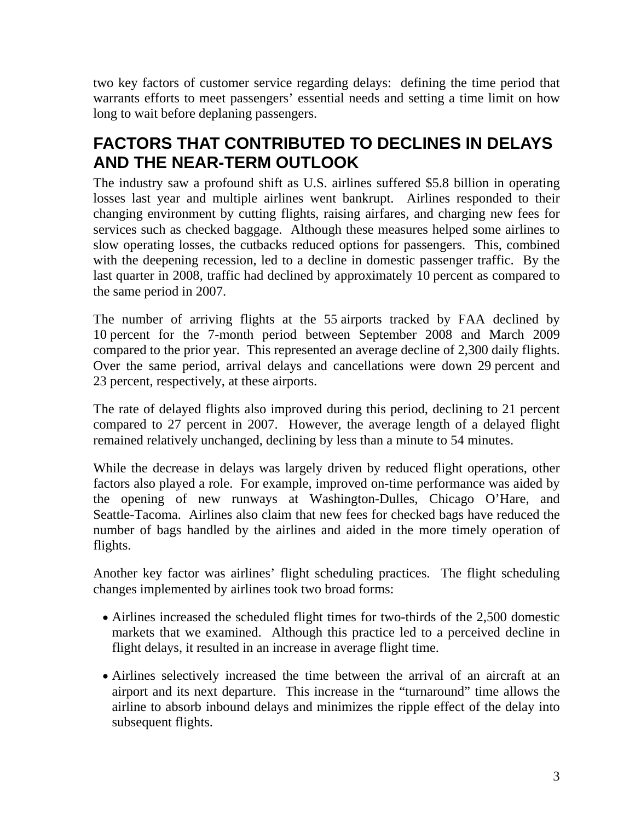two key factors of customer service regarding delays: defining the time period that warrants efforts to meet passengers' essential needs and setting a time limit on how long to wait before deplaning passengers.

# **FACTORS THAT CONTRIBUTED TO DECLINES IN DELAYS AND THE NEAR-TERM OUTLOOK**

The industry saw a profound shift as U.S. airlines suffered \$5.8 billion in operating losses last year and multiple airlines went bankrupt. Airlines responded to their changing environment by cutting flights, raising airfares, and charging new fees for services such as checked baggage. Although these measures helped some airlines to slow operating losses, the cutbacks reduced options for passengers. This, combined with the deepening recession, led to a decline in domestic passenger traffic. By the last quarter in 2008, traffic had declined by approximately 10 percent as compared to the same period in 2007.

The number of arriving flights at the 55 airports tracked by FAA declined by 10 percent for the 7-month period between September 2008 and March 2009 compared to the prior year. This represented an average decline of 2,300 daily flights. Over the same period, arrival delays and cancellations were down 29 percent and 23 percent, respectively, at these airports.

The rate of delayed flights also improved during this period, declining to 21 percent compared to 27 percent in 2007. However, the average length of a delayed flight remained relatively unchanged, declining by less than a minute to 54 minutes.

While the decrease in delays was largely driven by reduced flight operations, other factors also played a role. For example, improved on-time performance was aided by the opening of new runways at Washington-Dulles, Chicago O'Hare, and Seattle-Tacoma. Airlines also claim that new fees for checked bags have reduced the number of bags handled by the airlines and aided in the more timely operation of flights.

Another key factor was airlines' flight scheduling practices. The flight scheduling changes implemented by airlines took two broad forms:

- Airlines increased the scheduled flight times for two-thirds of the 2,500 domestic markets that we examined. Although this practice led to a perceived decline in flight delays, it resulted in an increase in average flight time.
- Airlines selectively increased the time between the arrival of an aircraft at an airport and its next departure. This increase in the "turnaround" time allows the airline to absorb inbound delays and minimizes the ripple effect of the delay into subsequent flights.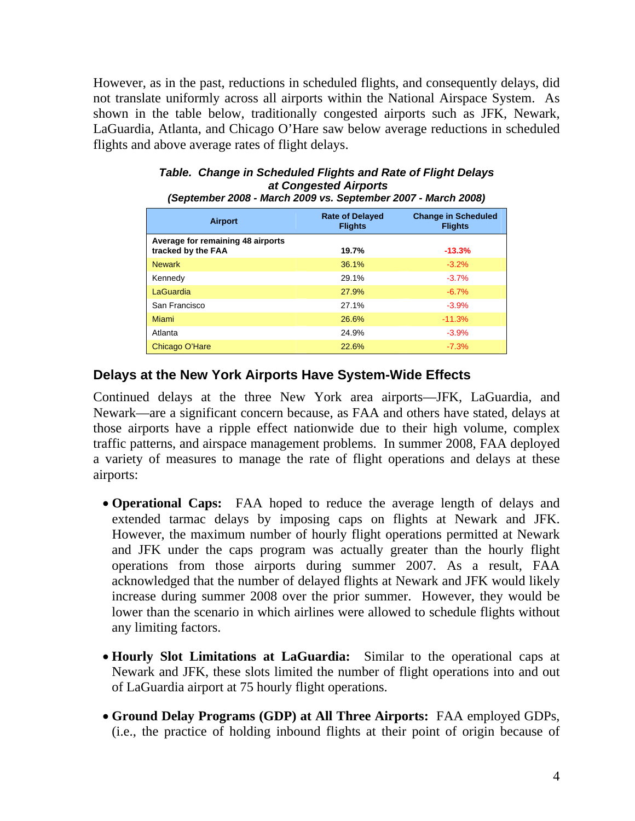However, as in the past, reductions in scheduled flights, and consequently delays, did not translate uniformly across all airports within the National Airspace System. As shown in the table below, traditionally congested airports such as JFK, Newark, LaGuardia, Atlanta, and Chicago O'Hare saw below average reductions in scheduled flights and above average rates of flight delays.

| (September 2008 - March 2009 vs. September 2007 - March 2008) |                                          |                                              |
|---------------------------------------------------------------|------------------------------------------|----------------------------------------------|
| <b>Airport</b>                                                | <b>Rate of Delayed</b><br><b>Flights</b> | <b>Change in Scheduled</b><br><b>Flights</b> |
| Average for remaining 48 airports<br>tracked by the FAA       | 19.7%                                    | $-13.3%$                                     |
| <b>Newark</b>                                                 | 36.1%                                    | $-3.2%$                                      |
| Kennedy                                                       | 29.1%                                    | $-3.7%$                                      |
| LaGuardia                                                     | 27.9%                                    | $-6.7%$                                      |
| San Francisco                                                 | 27.1%                                    | $-3.9%$                                      |
| Miami                                                         | 26.6%                                    | $-11.3%$                                     |
| Atlanta                                                       | 24.9%                                    | $-3.9%$                                      |
| Chicago O'Hare                                                | 22.6%                                    | $-7.3%$                                      |

#### *Table. Change in Scheduled Flights and Rate of Flight Delays at Congested Airports*

#### **Delays at the New York Airports Have System-Wide Effects**

Continued delays at the three New York area airports—JFK, LaGuardia, and Newark—are a significant concern because, as FAA and others have stated, delays at those airports have a ripple effect nationwide due to their high volume, complex traffic patterns, and airspace management problems. In summer 2008, FAA deployed a variety of measures to manage the rate of flight operations and delays at these airports:

- **Operational Caps:** FAA hoped to reduce the average length of delays and extended tarmac delays by imposing caps on flights at Newark and JFK. However, the maximum number of hourly flight operations permitted at Newark and JFK under the caps program was actually greater than the hourly flight operations from those airports during summer 2007. As a result, FAA acknowledged that the number of delayed flights at Newark and JFK would likely increase during summer 2008 over the prior summer. However, they would be lower than the scenario in which airlines were allowed to schedule flights without any limiting factors.
- **Hourly Slot Limitations at LaGuardia:** Similar to the operational caps at Newark and JFK, these slots limited the number of flight operations into and out of LaGuardia airport at 75 hourly flight operations.
- **Ground Delay Programs (GDP) at All Three Airports:** FAA employed GDPs, (i.e., the practice of holding inbound flights at their point of origin because of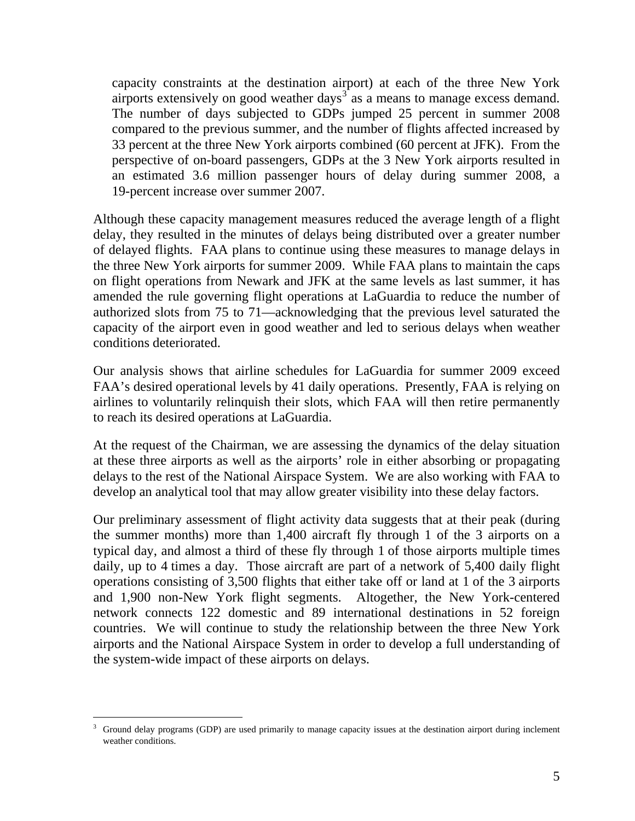capacity constraints at the destination airport) at each of the three New York airports extensively on good weather days<sup> $3\degree$ </sup> as a means to manage excess demand. The number of days subjected to GDPs jumped 25 percent in summer 2008 compared to the previous summer, and the number of flights affected increased by 33 percent at the three New York airports combined (60 percent at JFK). From the perspective of on-board passengers, GDPs at the 3 New York airports resulted in an estimated 3.6 million passenger hours of delay during summer 2008, a 19-percent increase over summer 2007.

Although these capacity management measures reduced the average length of a flight delay, they resulted in the minutes of delays being distributed over a greater number of delayed flights. FAA plans to continue using these measures to manage delays in the three New York airports for summer 2009. While FAA plans to maintain the caps on flight operations from Newark and JFK at the same levels as last summer, it has amended the rule governing flight operations at LaGuardia to reduce the number of authorized slots from 75 to 71—acknowledging that the previous level saturated the capacity of the airport even in good weather and led to serious delays when weather conditions deteriorated.

Our analysis shows that airline schedules for LaGuardia for summer 2009 exceed FAA's desired operational levels by 41 daily operations. Presently, FAA is relying on airlines to voluntarily relinquish their slots, which FAA will then retire permanently to reach its desired operations at LaGuardia.

At the request of the Chairman, we are assessing the dynamics of the delay situation at these three airports as well as the airports' role in either absorbing or propagating delays to the rest of the National Airspace System. We are also working with FAA to develop an analytical tool that may allow greater visibility into these delay factors.

Our preliminary assessment of flight activity data suggests that at their peak (during the summer months) more than 1,400 aircraft fly through 1 of the 3 airports on a typical day, and almost a third of these fly through 1 of those airports multiple times daily, up to 4 times a day. Those aircraft are part of a network of 5,400 daily flight operations consisting of 3,500 flights that either take off or land at 1 of the 3 airports and 1,900 non-New York flight segments. Altogether, the New York-centered network connects 122 domestic and 89 international destinations in 52 foreign countries. We will continue to study the relationship between the three New York airports and the National Airspace System in order to develop a full understanding of the system-wide impact of these airports on delays.

 $\overline{a}$ 

<sup>3</sup> Ground delay programs (GDP) are used primarily to manage capacity issues at the destination airport during inclement weather conditions.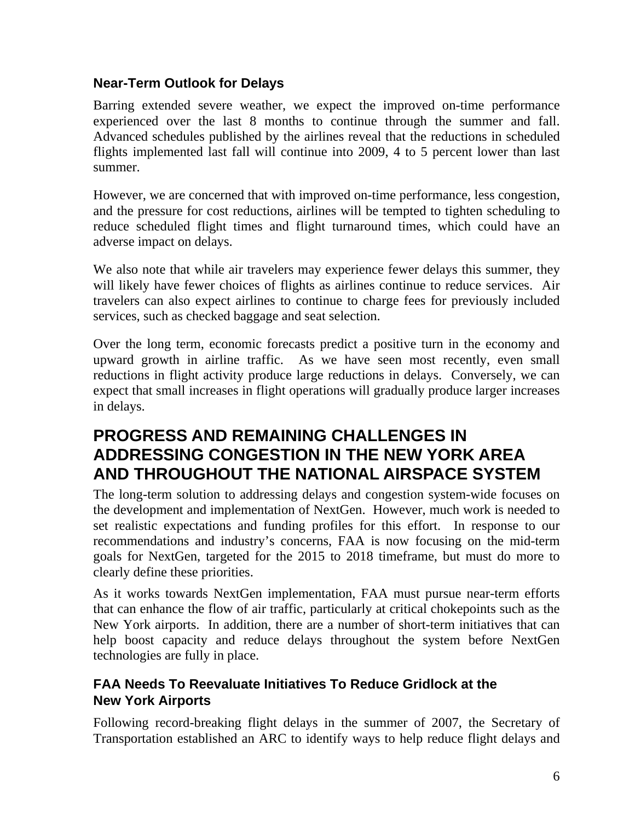#### **Near-Term Outlook for Delays**

Barring extended severe weather, we expect the improved on-time performance experienced over the last 8 months to continue through the summer and fall. Advanced schedules published by the airlines reveal that the reductions in scheduled flights implemented last fall will continue into 2009, 4 to 5 percent lower than last summer.

However, we are concerned that with improved on-time performance, less congestion, and the pressure for cost reductions, airlines will be tempted to tighten scheduling to reduce scheduled flight times and flight turnaround times, which could have an adverse impact on delays.

We also note that while air travelers may experience fewer delays this summer, they will likely have fewer choices of flights as airlines continue to reduce services. Air travelers can also expect airlines to continue to charge fees for previously included services, such as checked baggage and seat selection.

Over the long term, economic forecasts predict a positive turn in the economy and upward growth in airline traffic. As we have seen most recently, even small reductions in flight activity produce large reductions in delays. Conversely, we can expect that small increases in flight operations will gradually produce larger increases in delays.

# **PROGRESS AND REMAINING CHALLENGES IN ADDRESSING CONGESTION IN THE NEW YORK AREA AND THROUGHOUT THE NATIONAL AIRSPACE SYSTEM**

The long-term solution to addressing delays and congestion system-wide focuses on the development and implementation of NextGen. However, much work is needed to set realistic expectations and funding profiles for this effort. In response to our recommendations and industry's concerns, FAA is now focusing on the mid-term goals for NextGen, targeted for the 2015 to 2018 timeframe, but must do more to clearly define these priorities.

As it works towards NextGen implementation, FAA must pursue near-term efforts that can enhance the flow of air traffic, particularly at critical chokepoints such as the New York airports. In addition, there are a number of short-term initiatives that can help boost capacity and reduce delays throughout the system before NextGen technologies are fully in place.

#### **FAA Needs To Reevaluate Initiatives To Reduce Gridlock at the New York Airports**

Following record-breaking flight delays in the summer of 2007, the Secretary of Transportation established an ARC to identify ways to help reduce flight delays and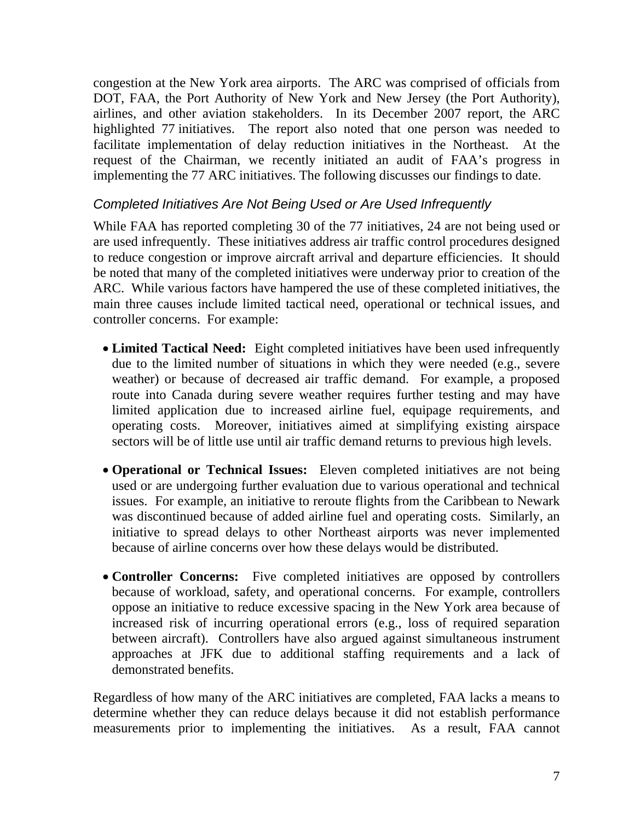congestion at the New York area airports. The ARC was comprised of officials from DOT, FAA, the Port Authority of New York and New Jersey (the Port Authority), airlines, and other aviation stakeholders. In its December 2007 report, the ARC highlighted 77 initiatives. The report also noted that one person was needed to facilitate implementation of delay reduction initiatives in the Northeast. At the request of the Chairman, we recently initiated an audit of FAA's progress in implementing the 77 ARC initiatives. The following discusses our findings to date.

#### *Completed Initiatives Are Not Being Used or Are Used Infrequently*

While FAA has reported completing 30 of the 77 initiatives, 24 are not being used or are used infrequently. These initiatives address air traffic control procedures designed to reduce congestion or improve aircraft arrival and departure efficiencies. It should be noted that many of the completed initiatives were underway prior to creation of the ARC. While various factors have hampered the use of these completed initiatives, the main three causes include limited tactical need, operational or technical issues, and controller concerns. For example:

- **Limited Tactical Need:** Eight completed initiatives have been used infrequently due to the limited number of situations in which they were needed (e.g., severe weather) or because of decreased air traffic demand. For example, a proposed route into Canada during severe weather requires further testing and may have limited application due to increased airline fuel, equipage requirements, and operating costs. Moreover, initiatives aimed at simplifying existing airspace sectors will be of little use until air traffic demand returns to previous high levels.
- **Operational or Technical Issues:** Eleven completed initiatives are not being used or are undergoing further evaluation due to various operational and technical issues. For example, an initiative to reroute flights from the Caribbean to Newark was discontinued because of added airline fuel and operating costs. Similarly, an initiative to spread delays to other Northeast airports was never implemented because of airline concerns over how these delays would be distributed.
- **Controller Concerns:** Five completed initiatives are opposed by controllers because of workload, safety, and operational concerns. For example, controllers oppose an initiative to reduce excessive spacing in the New York area because of increased risk of incurring operational errors (e.g., loss of required separation between aircraft). Controllers have also argued against simultaneous instrument approaches at JFK due to additional staffing requirements and a lack of demonstrated benefits.

Regardless of how many of the ARC initiatives are completed, FAA lacks a means to determine whether they can reduce delays because it did not establish performance measurements prior to implementing the initiatives. As a result, FAA cannot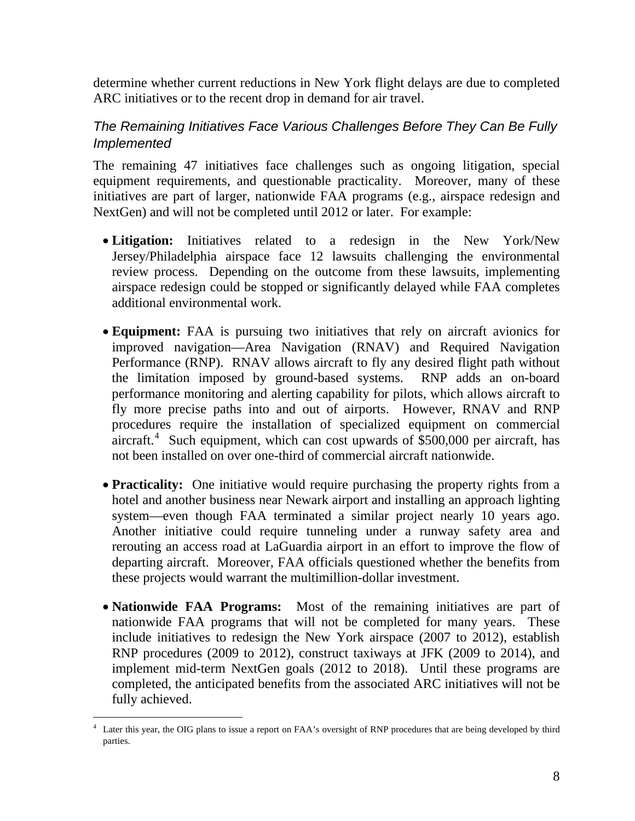determine whether current reductions in New York flight delays are due to completed ARC initiatives or to the recent drop in demand for air travel.

#### *The Remaining Initiatives Face Various Challenges Before They Can Be Fully Implemented*

The remaining 47 initiatives face challenges such as ongoing litigation, special equipment requirements, and questionable practicality. Moreover, many of these initiatives are part of larger, nationwide FAA programs (e.g., airspace redesign and NextGen) and will not be completed until 2012 or later. For example:

- **Litigation:** Initiatives related to a redesign in the New York/New Jersey/Philadelphia airspace face 12 lawsuits challenging the environmental review process. Depending on the outcome from these lawsuits, implementing airspace redesign could be stopped or significantly delayed while FAA completes additional environmental work.
- **Equipment:** FAA is pursuing two initiatives that rely on aircraft avionics for improved navigation—Area Navigation (RNAV) and Required Navigation Performance (RNP). RNAV allows aircraft to fly any desired flight path without the limitation imposed by ground-based systems. RNP adds an on-board performance monitoring and alerting capability for pilots, which allows aircraft to fly more precise paths into and out of airports. However, RNAV and RNP procedures require the installation of specialized equipment on commercial aircraft.<sup>[4](#page-8-0)</sup> Such equipment, which can cost upwards of \$500,000 per aircraft, has not been installed on over one-third of commercial aircraft nationwide.
- **Practicality:** One initiative would require purchasing the property rights from a hotel and another business near Newark airport and installing an approach lighting system—even though FAA terminated a similar project nearly 10 years ago. Another initiative could require tunneling under a runway safety area and rerouting an access road at LaGuardia airport in an effort to improve the flow of departing aircraft. Moreover, FAA officials questioned whether the benefits from these projects would warrant the multimillion-dollar investment.
- **Nationwide FAA Programs:** Most of the remaining initiatives are part of nationwide FAA programs that will not be completed for many years. These include initiatives to redesign the New York airspace (2007 to 2012), establish RNP procedures (2009 to 2012), construct taxiways at JFK (2009 to 2014), and implement mid-term NextGen goals (2012 to 2018). Until these programs are completed, the anticipated benefits from the associated ARC initiatives will not be fully achieved.

 $\overline{a}$ 

<span id="page-8-0"></span><sup>4</sup> Later this year, the OIG plans to issue a report on FAA's oversight of RNP procedures that are being developed by third parties.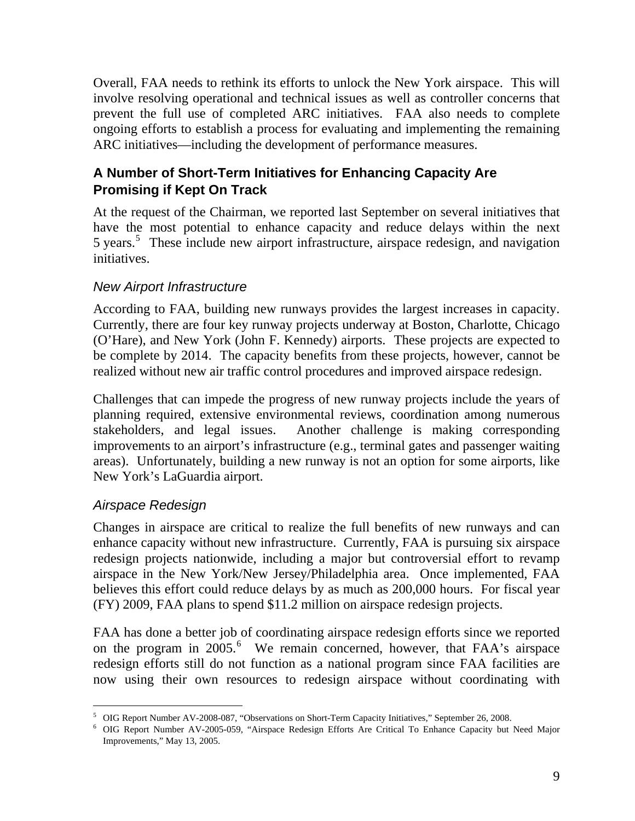Overall, FAA needs to rethink its efforts to unlock the New York airspace. This will involve resolving operational and technical issues as well as controller concerns that prevent the full use of completed ARC initiatives. FAA also needs to complete ongoing efforts to establish a process for evaluating and implementing the remaining ARC initiatives—including the development of performance measures.

### **A Number of Short-Term Initiatives for Enhancing Capacity Are Promising if Kept On Track**

At the request of the Chairman, we reported last September on several initiatives that have the most potential to enhance capacity and reduce delays within the next [5](#page-9-0) years.<sup>5</sup> These include new airport infrastructure, airspace redesign, and navigation initiatives.

#### *New Airport Infrastructure*

According to FAA, building new runways provides the largest increases in capacity. Currently, there are four key runway projects underway at Boston, Charlotte, Chicago (O'Hare), and New York (John F. Kennedy) airports. These projects are expected to be complete by 2014. The capacity benefits from these projects, however, cannot be realized without new air traffic control procedures and improved airspace redesign.

Challenges that can impede the progress of new runway projects include the years of planning required, extensive environmental reviews, coordination among numerous stakeholders, and legal issues. Another challenge is making corresponding improvements to an airport's infrastructure (e.g., terminal gates and passenger waiting areas). Unfortunately, building a new runway is not an option for some airports, like New York's LaGuardia airport.

#### *Airspace Redesign*

 $\overline{a}$ 

Changes in airspace are critical to realize the full benefits of new runways and can enhance capacity without new infrastructure. Currently, FAA is pursuing six airspace redesign projects nationwide, including a major but controversial effort to revamp airspace in the New York/New Jersey/Philadelphia area. Once implemented, FAA believes this effort could reduce delays by as much as 200,000 hours. For fiscal year (FY) 2009, FAA plans to spend \$11.2 million on airspace redesign projects.

FAA has done a better job of coordinating airspace redesign efforts since we reported on the program in 2005.<sup>[6](#page-9-1)</sup> We remain concerned, however, that FAA's airspace redesign efforts still do not function as a national program since FAA facilities are now using their own resources to redesign airspace without coordinating with

<sup>5</sup> OIG Report Number AV-2008-087, "Observations on Short-Term Capacity Initiatives," September 26, 2008. 6

<span id="page-9-1"></span><span id="page-9-0"></span><sup>&</sup>lt;sup>6</sup> OIG Report Number AV-2005-059, "Airspace Redesign Efforts Are Critical To Enhance Capacity but Need Major Improvements," May 13, 2005.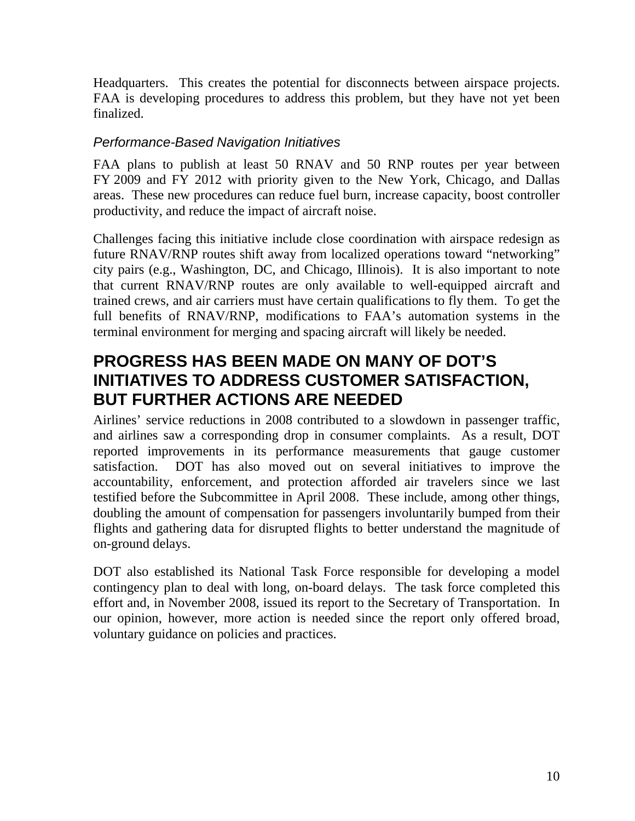Headquarters. This creates the potential for disconnects between airspace projects. FAA is developing procedures to address this problem, but they have not yet been finalized.

#### *Performance-Based Navigation Initiatives*

FAA plans to publish at least 50 RNAV and 50 RNP routes per year between FY 2009 and FY 2012 with priority given to the New York, Chicago, and Dallas areas. These new procedures can reduce fuel burn, increase capacity, boost controller productivity, and reduce the impact of aircraft noise.

Challenges facing this initiative include close coordination with airspace redesign as future RNAV/RNP routes shift away from localized operations toward "networking" city pairs (e.g., Washington, DC, and Chicago, Illinois). It is also important to note that current RNAV/RNP routes are only available to well-equipped aircraft and trained crews, and air carriers must have certain qualifications to fly them. To get the full benefits of RNAV/RNP, modifications to FAA's automation systems in the terminal environment for merging and spacing aircraft will likely be needed.

# **PROGRESS HAS BEEN MADE ON MANY OF DOT'S INITIATIVES TO ADDRESS CUSTOMER SATISFACTION, BUT FURTHER ACTIONS ARE NEEDED**

Airlines' service reductions in 2008 contributed to a slowdown in passenger traffic, and airlines saw a corresponding drop in consumer complaints. As a result, DOT reported improvements in its performance measurements that gauge customer satisfaction. DOT has also moved out on several initiatives to improve the accountability, enforcement, and protection afforded air travelers since we last testified before the Subcommittee in April 2008. These include, among other things, doubling the amount of compensation for passengers involuntarily bumped from their flights and gathering data for disrupted flights to better understand the magnitude of on-ground delays.

DOT also established its National Task Force responsible for developing a model contingency plan to deal with long, on-board delays. The task force completed this effort and, in November 2008, issued its report to the Secretary of Transportation. In our opinion, however, more action is needed since the report only offered broad, voluntary guidance on policies and practices.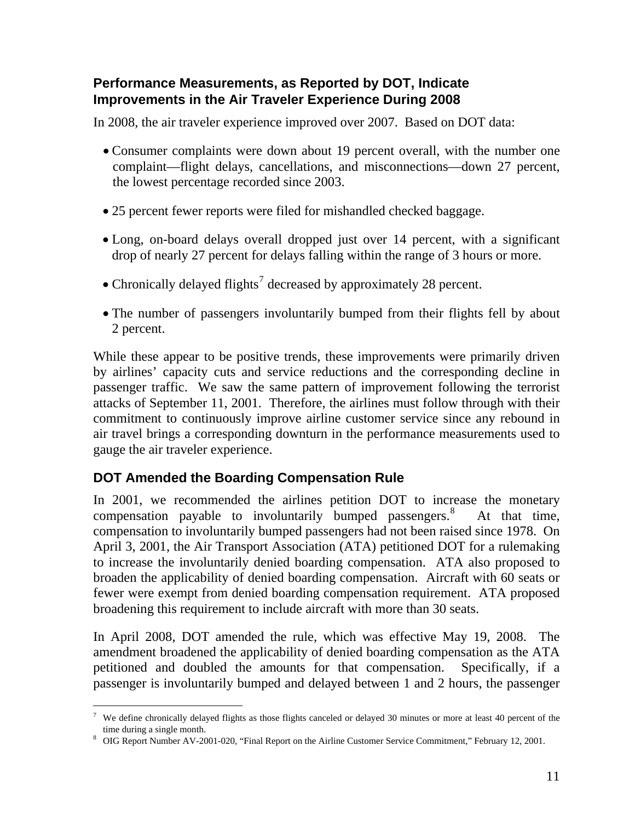### **Performance Measurements, as Reported by DOT, Indicate Improvements in the Air Traveler Experience During 2008**

In 2008, the air traveler experience improved over 2007. Based on DOT data:

- Consumer complaints were down about 19 percent overall, with the number one complaint—flight delays, cancellations, and misconnections—down 27 percent, the lowest percentage recorded since 2003.
- 25 percent fewer reports were filed for mishandled checked baggage.
- Long, on-board delays overall dropped just over 14 percent, with a significant drop of nearly 27 percent for delays falling within the range of 3 hours or more.
- Chronically delayed flights<sup>[7](#page-11-0)</sup> decreased by approximately 28 percent.
- The number of passengers involuntarily bumped from their flights fell by about 2 percent.

While these appear to be positive trends, these improvements were primarily driven by airlines' capacity cuts and service reductions and the corresponding decline in passenger traffic. We saw the same pattern of improvement following the terrorist attacks of September 11, 2001. Therefore, the airlines must follow through with their commitment to continuously improve airline customer service since any rebound in air travel brings a corresponding downturn in the performance measurements used to gauge the air traveler experience.

# **DOT Amended the Boarding Compensation Rule**

 $\overline{a}$ 

In 2001, we recommended the airlines petition DOT to increase the monetary compensation payable to involuntarily bumped passengers.<sup>[8](#page-11-1)</sup> At that time, compensation to involuntarily bumped passengers had not been raised since 1978. On April 3, 2001, the Air Transport Association (ATA) petitioned DOT for a rulemaking to increase the involuntarily denied boarding compensation. ATA also proposed to broaden the applicability of denied boarding compensation. Aircraft with 60 seats or fewer were exempt from denied boarding compensation requirement. ATA proposed broadening this requirement to include aircraft with more than 30 seats.

In April 2008, DOT amended the rule, which was effective May 19, 2008. The amendment broadened the applicability of denied boarding compensation as the ATA petitioned and doubled the amounts for that compensation. Specifically, if a passenger is involuntarily bumped and delayed between 1 and 2 hours, the passenger

<span id="page-11-0"></span><sup>&</sup>lt;sup>7</sup> We define chronically delayed flights as those flights canceled or delayed 30 minutes or more at least 40 percent of the time during a single month.

<span id="page-11-1"></span>OIG Report Number AV-2001-020, "Final Report on the Airline Customer Service Commitment," February 12, 2001.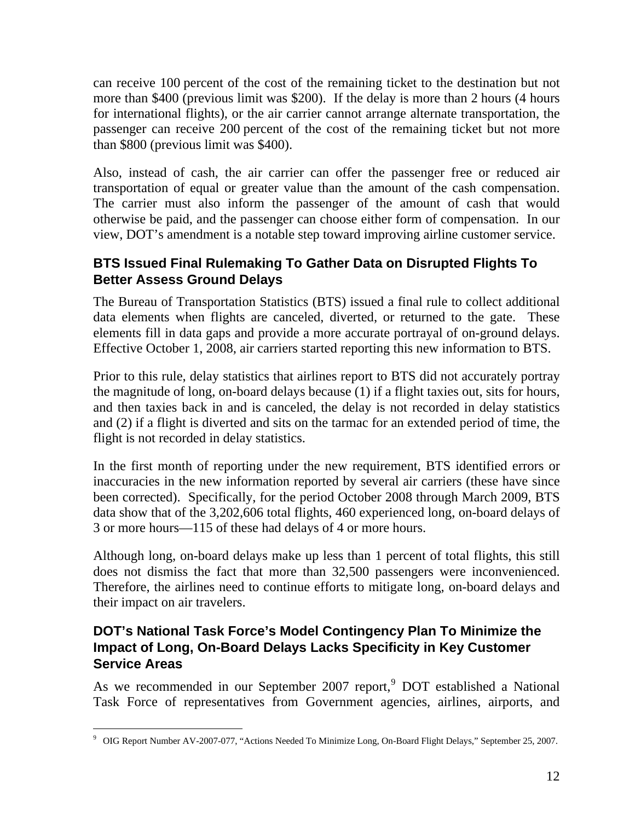can receive 100 percent of the cost of the remaining ticket to the destination but not more than \$400 (previous limit was \$200). If the delay is more than 2 hours (4 hours for international flights), or the air carrier cannot arrange alternate transportation, the passenger can receive 200 percent of the cost of the remaining ticket but not more than \$800 (previous limit was \$400).

Also, instead of cash, the air carrier can offer the passenger free or reduced air transportation of equal or greater value than the amount of the cash compensation. The carrier must also inform the passenger of the amount of cash that would otherwise be paid, and the passenger can choose either form of compensation. In our view, DOT's amendment is a notable step toward improving airline customer service.

## **BTS Issued Final Rulemaking To Gather Data on Disrupted Flights To Better Assess Ground Delays**

The Bureau of Transportation Statistics (BTS) issued a final rule to collect additional data elements when flights are canceled, diverted, or returned to the gate. These elements fill in data gaps and provide a more accurate portrayal of on-ground delays. Effective October 1, 2008, air carriers started reporting this new information to BTS.

Prior to this rule, delay statistics that airlines report to BTS did not accurately portray the magnitude of long, on-board delays because (1) if a flight taxies out, sits for hours, and then taxies back in and is canceled, the delay is not recorded in delay statistics and (2) if a flight is diverted and sits on the tarmac for an extended period of time, the flight is not recorded in delay statistics.

In the first month of reporting under the new requirement, BTS identified errors or inaccuracies in the new information reported by several air carriers (these have since been corrected). Specifically, for the period October 2008 through March 2009, BTS data show that of the 3,202,606 total flights, 460 experienced long, on-board delays of 3 or more hours—115 of these had delays of 4 or more hours.

Although long, on-board delays make up less than 1 percent of total flights, this still does not dismiss the fact that more than 32,500 passengers were inconvenienced. Therefore, the airlines need to continue efforts to mitigate long, on-board delays and their impact on air travelers.

#### **DOT's National Task Force's Model Contingency Plan To Minimize the Impact of Long, On-Board Delays Lacks Specificity in Key Customer Service Areas**

As we recommended in our September 2007 report,<sup>[9](#page-12-0)</sup> DOT established a National Task Force of representatives from Government agencies, airlines, airports, and

<span id="page-12-0"></span> $\overline{a}$ 9 OIG Report Number AV-2007-077, "Actions Needed To Minimize Long, On-Board Flight Delays," September 25, 2007.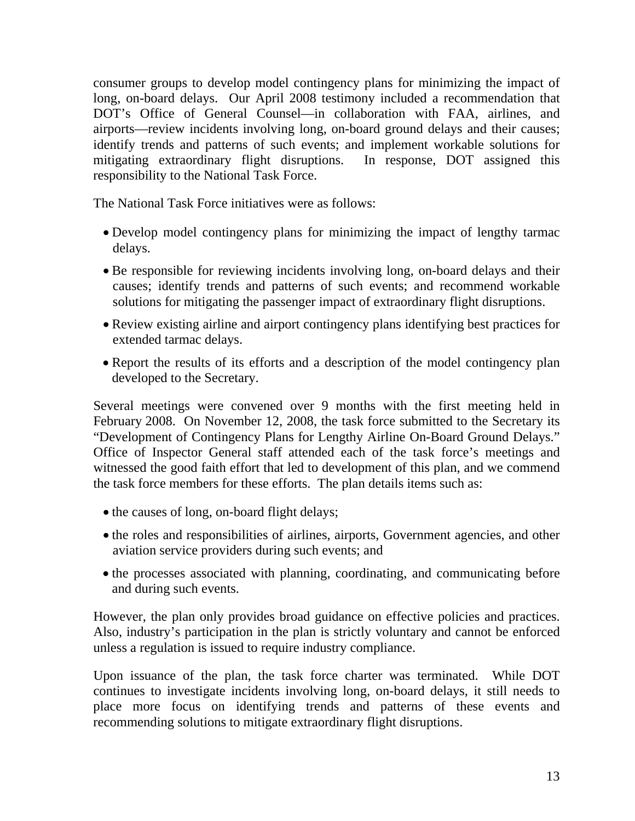consumer groups to develop model contingency plans for minimizing the impact of long, on-board delays. Our April 2008 testimony included a recommendation that DOT's Office of General Counsel—in collaboration with FAA, airlines, and airports—review incidents involving long, on-board ground delays and their causes; identify trends and patterns of such events; and implement workable solutions for mitigating extraordinary flight disruptions. In response, DOT assigned this responsibility to the National Task Force.

The National Task Force initiatives were as follows:

- Develop model contingency plans for minimizing the impact of lengthy tarmac delays.
- Be responsible for reviewing incidents involving long, on-board delays and their causes; identify trends and patterns of such events; and recommend workable solutions for mitigating the passenger impact of extraordinary flight disruptions.
- Review existing airline and airport contingency plans identifying best practices for extended tarmac delays.
- Report the results of its efforts and a description of the model contingency plan developed to the Secretary.

Several meetings were convened over 9 months with the first meeting held in February 2008. On November 12, 2008, the task force submitted to the Secretary its "Development of Contingency Plans for Lengthy Airline On-Board Ground Delays." Office of Inspector General staff attended each of the task force's meetings and witnessed the good faith effort that led to development of this plan, and we commend the task force members for these efforts. The plan details items such as:

- the causes of long, on-board flight delays;
- the roles and responsibilities of airlines, airports, Government agencies, and other aviation service providers during such events; and
- the processes associated with planning, coordinating, and communicating before and during such events.

However, the plan only provides broad guidance on effective policies and practices. Also, industry's participation in the plan is strictly voluntary and cannot be enforced unless a regulation is issued to require industry compliance.

Upon issuance of the plan, the task force charter was terminated. While DOT continues to investigate incidents involving long, on-board delays, it still needs to place more focus on identifying trends and patterns of these events and recommending solutions to mitigate extraordinary flight disruptions.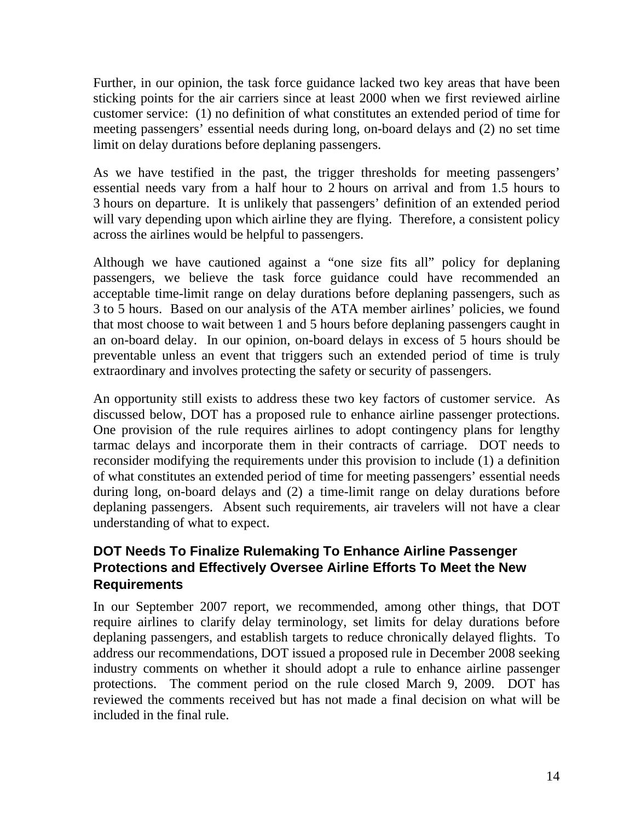Further, in our opinion, the task force guidance lacked two key areas that have been sticking points for the air carriers since at least 2000 when we first reviewed airline customer service: (1) no definition of what constitutes an extended period of time for meeting passengers' essential needs during long, on-board delays and (2) no set time limit on delay durations before deplaning passengers.

As we have testified in the past, the trigger thresholds for meeting passengers' essential needs vary from a half hour to 2 hours on arrival and from 1.5 hours to 3 hours on departure. It is unlikely that passengers' definition of an extended period will vary depending upon which airline they are flying. Therefore, a consistent policy across the airlines would be helpful to passengers.

Although we have cautioned against a "one size fits all" policy for deplaning passengers, we believe the task force guidance could have recommended an acceptable time-limit range on delay durations before deplaning passengers, such as 3 to 5 hours. Based on our analysis of the ATA member airlines' policies, we found that most choose to wait between 1 and 5 hours before deplaning passengers caught in an on-board delay. In our opinion, on-board delays in excess of 5 hours should be preventable unless an event that triggers such an extended period of time is truly extraordinary and involves protecting the safety or security of passengers.

An opportunity still exists to address these two key factors of customer service. As discussed below, DOT has a proposed rule to enhance airline passenger protections. One provision of the rule requires airlines to adopt contingency plans for lengthy tarmac delays and incorporate them in their contracts of carriage. DOT needs to reconsider modifying the requirements under this provision to include (1) a definition of what constitutes an extended period of time for meeting passengers' essential needs during long, on-board delays and (2) a time-limit range on delay durations before deplaning passengers. Absent such requirements, air travelers will not have a clear understanding of what to expect.

### **DOT Needs To Finalize Rulemaking To Enhance Airline Passenger Protections and Effectively Oversee Airline Efforts To Meet the New Requirements**

In our September 2007 report, we recommended, among other things, that DOT require airlines to clarify delay terminology, set limits for delay durations before deplaning passengers, and establish targets to reduce chronically delayed flights. To address our recommendations, DOT issued a proposed rule in December 2008 seeking industry comments on whether it should adopt a rule to enhance airline passenger protections. The comment period on the rule closed March 9, 2009. DOT has reviewed the comments received but has not made a final decision on what will be included in the final rule.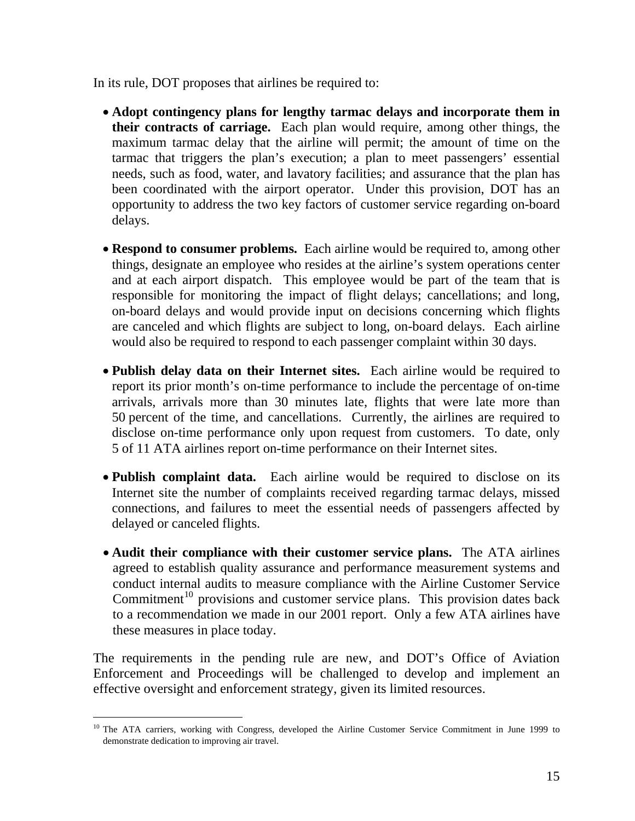In its rule, DOT proposes that airlines be required to:

- **Adopt contingency plans for lengthy tarmac delays and incorporate them in their contracts of carriage.** Each plan would require, among other things, the maximum tarmac delay that the airline will permit; the amount of time on the tarmac that triggers the plan's execution; a plan to meet passengers' essential needs, such as food, water, and lavatory facilities; and assurance that the plan has been coordinated with the airport operator. Under this provision, DOT has an opportunity to address the two key factors of customer service regarding on-board delays.
- **Respond to consumer problems.** Each airline would be required to, among other things, designate an employee who resides at the airline's system operations center and at each airport dispatch. This employee would be part of the team that is responsible for monitoring the impact of flight delays; cancellations; and long, on-board delays and would provide input on decisions concerning which flights are canceled and which flights are subject to long, on-board delays. Each airline would also be required to respond to each passenger complaint within 30 days.
- **Publish delay data on their Internet sites.** Each airline would be required to report its prior month's on-time performance to include the percentage of on-time arrivals, arrivals more than 30 minutes late, flights that were late more than 50 percent of the time, and cancellations. Currently, the airlines are required to disclose on-time performance only upon request from customers. To date, only 5 of 11 ATA airlines report on-time performance on their Internet sites.
- **Publish complaint data.** Each airline would be required to disclose on its Internet site the number of complaints received regarding tarmac delays, missed connections, and failures to meet the essential needs of passengers affected by delayed or canceled flights.
- **Audit their compliance with their customer service plans.** The ATA airlines agreed to establish quality assurance and performance measurement systems and conduct internal audits to measure compliance with the Airline Customer Service Commitment<sup>[10](#page-15-0)</sup> provisions and customer service plans. This provision dates back to a recommendation we made in our 2001 report. Only a few ATA airlines have these measures in place today.

The requirements in the pending rule are new, and DOT's Office of Aviation Enforcement and Proceedings will be challenged to develop and implement an effective oversight and enforcement strategy, given its limited resources.

 $\overline{a}$ 

<span id="page-15-0"></span><sup>&</sup>lt;sup>10</sup> The ATA carriers, working with Congress, developed the Airline Customer Service Commitment in June 1999 to demonstrate dedication to improving air travel.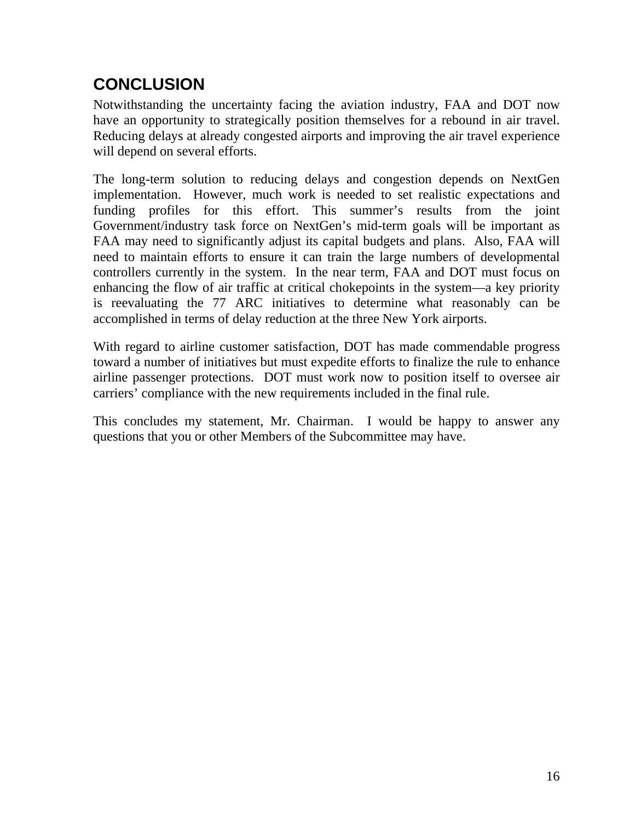# **CONCLUSION**

Notwithstanding the uncertainty facing the aviation industry, FAA and DOT now have an opportunity to strategically position themselves for a rebound in air travel. Reducing delays at already congested airports and improving the air travel experience will depend on several efforts.

The long-term solution to reducing delays and congestion depends on NextGen implementation. However, much work is needed to set realistic expectations and funding profiles for this effort. This summer's results from the joint Government/industry task force on NextGen's mid-term goals will be important as FAA may need to significantly adjust its capital budgets and plans. Also, FAA will need to maintain efforts to ensure it can train the large numbers of developmental controllers currently in the system. In the near term, FAA and DOT must focus on enhancing the flow of air traffic at critical chokepoints in the system—a key priority is reevaluating the 77 ARC initiatives to determine what reasonably can be accomplished in terms of delay reduction at the three New York airports.

With regard to airline customer satisfaction, DOT has made commendable progress toward a number of initiatives but must expedite efforts to finalize the rule to enhance airline passenger protections. DOT must work now to position itself to oversee air carriers' compliance with the new requirements included in the final rule.

This concludes my statement, Mr. Chairman. I would be happy to answer any questions that you or other Members of the Subcommittee may have.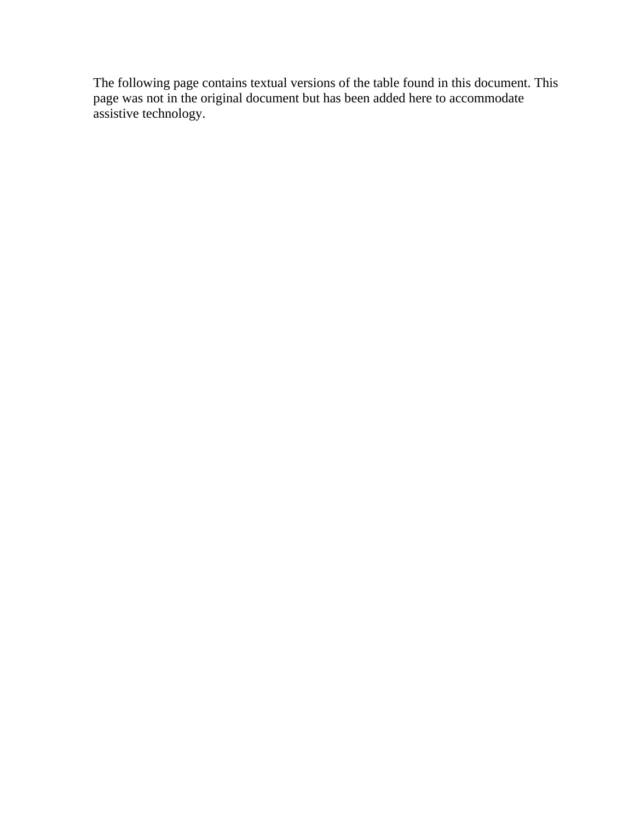The following page contains textual versions of the table found in this document. This page was not in the original document but has been added here to accommodate assistive technology.